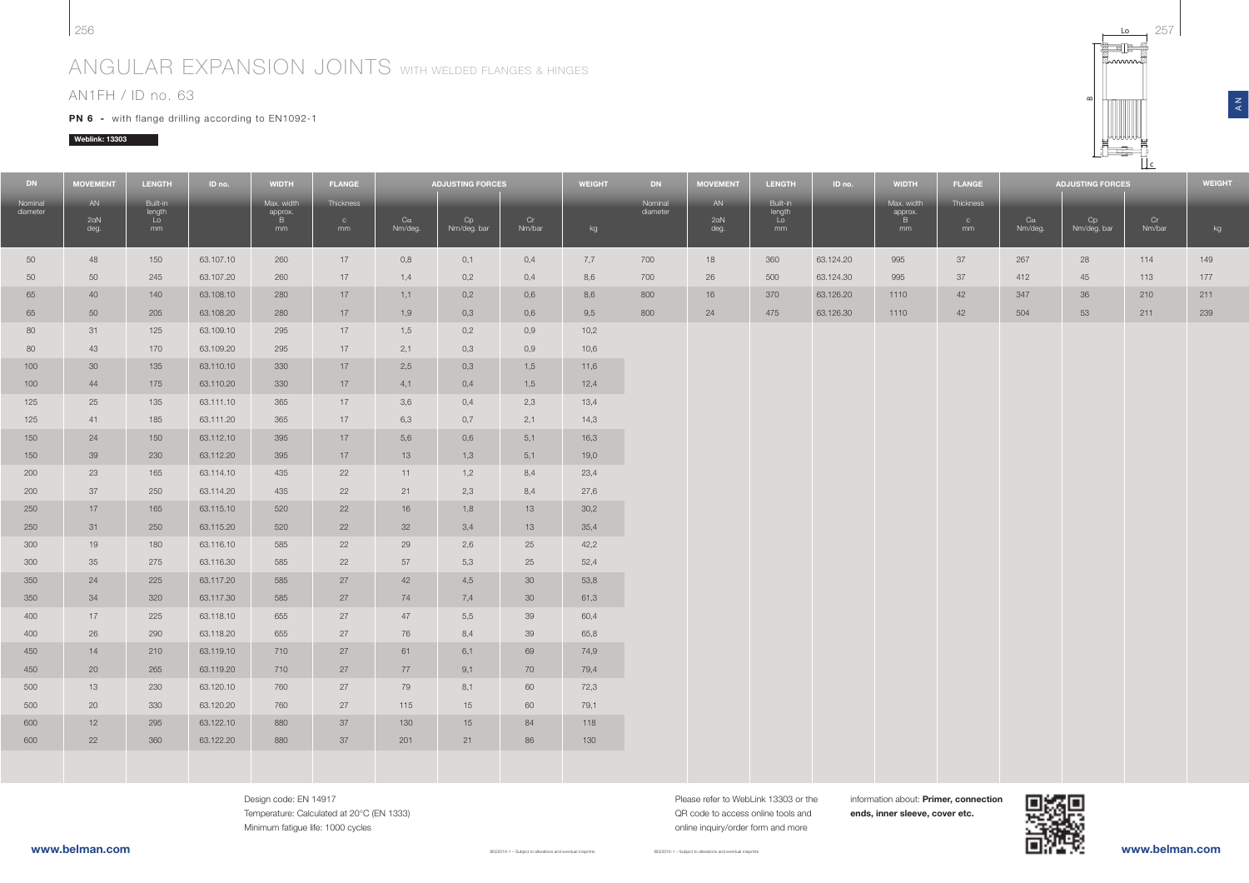#### 256<sup>257</sup>

## ANGULAR EXPANSION JOINTS WITH WELDED FLANGES & HINGES

### AN1FH / ID no. 63

**PN 6 -** with flange drilling according to EN1092-1

#### Weblink: 13303



Design code: EN 14917 Temperature: Calculated at 20°C (EN 1333) Minimum fatigue life: 1000 cycles

Please refer to WebLink 13303 or the QR code to access online tools andonline inquiry/order form and more

B022016-1 – Subject to alterations and eventual misprints

information about: Primer, connection ends, inner sleeve, cover etc.



www.belman.com

 $\overline{L}$ 

 $\approx$ 

 $\frac{z}{4}$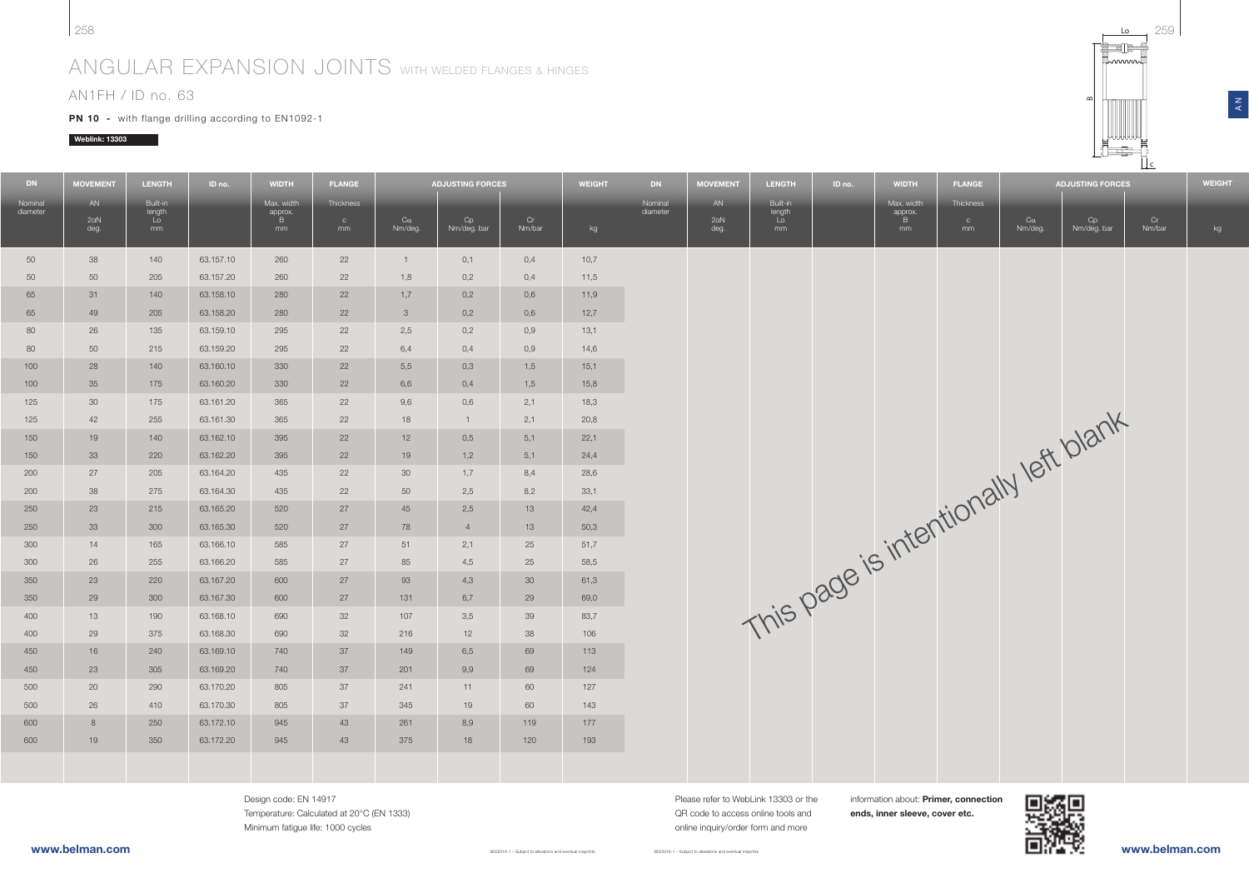# ANGULAR EXPANSION JOINTS WITH WELDED FLANGES & HINGES

## AN1FH / ID no. 63

**PN 10** - with flange drilling according to EN1092-1

### Weblink: 13303

258

| <b>DN</b>           | <b>MOVEMENT</b> | <b>LENGTH</b>            | ID no.    | <b>WIDTH</b>               | <b>FLANGE</b>             |                 | <b>ADJUSTING FORCES</b> |        | <b>WEIGHT</b> | <b>DN</b>           | <b>MOVEMENT</b> | <b>LENGTH</b>            | ID no. | <b>WIDTH</b>               | <b>FLANGE</b>             |         | <b>ADJUSTING FORCES</b>               |        | <b>WEIGHT</b> |
|---------------------|-----------------|--------------------------|-----------|----------------------------|---------------------------|-----------------|-------------------------|--------|---------------|---------------------|-----------------|--------------------------|--------|----------------------------|---------------------------|---------|---------------------------------------|--------|---------------|
| Nominal<br>diameter | AN<br>2aN       | Built-in<br>length<br>Lo |           | Max. width<br>approx.<br>B | Thickness<br>$\mathbf{C}$ | $C\alpha$       | Cp                      | Cr     |               | Nominal<br>diameter | AN<br>2aN       | Built-in<br>length<br>Lo |        | Max. width<br>approx.<br>B | Thickness<br>$\mathbf{C}$ | Ca      | Cp                                    | Cr     |               |
|                     | deg.            | mm                       |           | mm                         | mm                        | Nm/deg.         | Nm/deg. bar             | Nm/bar | kg            |                     | deg.            | mm                       |        | mm                         | mm                        | Nm/deg. | Nm/deg. bar                           | Nm/bar | kg            |
| 50                  | 38              | 140                      | 63.157.10 | 260                        | 22                        | $\mathbf{1}$    | 0,1                     | 0,4    | 10,7          |                     |                 |                          |        |                            |                           |         |                                       |        |               |
| 50                  | 50              | 205                      | 63.157.20 | 260                        | 22                        | 1,8             | 0,2                     | 0,4    | 11,5          |                     |                 |                          |        |                            |                           |         |                                       |        |               |
| 65                  | 31              | 140                      | 63.158.10 | 280                        | 22                        | 1,7             | 0,2                     | 0,6    | 11,9          |                     |                 |                          |        |                            |                           |         |                                       |        |               |
| 65                  | 49              | 205                      | 63.158.20 | 280                        | 22                        | 3               | 0,2                     | 0,6    | 12,7          |                     |                 |                          |        |                            |                           |         |                                       |        |               |
| 80                  | 26              | 135                      | 63.159.10 | 295                        | 22                        | 2,5             | 0,2                     | 0,9    | 13,1          |                     |                 |                          |        |                            |                           |         |                                       |        |               |
| 80                  | 50              | 215                      | 63.159.20 | 295                        | 22                        | 6,4             | 0,4                     | 0,9    | 14,6          |                     |                 |                          |        |                            |                           |         |                                       |        |               |
| 100                 | 28              | 140                      | 63.160.10 | 330                        | 22                        | 5,5             | 0,3                     | 1,5    | 15,1          |                     |                 |                          |        |                            |                           |         |                                       |        |               |
| 100                 | 35              | 175                      | 63.160.20 | 330                        | 22                        | 6,6             | 0,4                     | 1,5    | 15,8          |                     |                 |                          |        |                            |                           |         | This page is intentionally left blank |        |               |
| 125                 | 30              | 175                      | 63.161.20 | 365                        | 22                        | 9,6             | 0,6                     | 2,1    | 18,3          |                     |                 |                          |        |                            |                           |         |                                       |        |               |
| 125                 | 42              | 255                      | 63.161.30 | 365                        | 22                        | 18              | 1                       | 2,1    | 20,8          |                     |                 |                          |        |                            |                           |         |                                       |        |               |
| 150                 | 19              | 140                      | 63.162.10 | 395                        | 22                        | 12              | 0,5                     | 5,1    | 22,1          |                     |                 |                          |        |                            |                           |         |                                       |        |               |
| 150                 | 33              | 220                      | 63.162.20 | 395                        | 22                        | 19              | 1,2                     | 5,1    | 24,4          |                     |                 |                          |        |                            |                           |         |                                       |        |               |
| 200                 | 27              | 205                      | 63.164.20 | 435                        | 22                        | 30 <sup>°</sup> | 1,7                     | 8,4    | 28,6          |                     |                 |                          |        |                            |                           |         |                                       |        |               |
| 200                 | 38              | 275                      | 63.164.30 | 435                        | 22                        | 50              | 2,5                     | 8,2    | 33,1          |                     |                 |                          |        |                            |                           |         |                                       |        |               |
| 250                 | 23              | 215                      | 63.165.20 | 520                        | 27                        | 45              | 2,5                     | 13     | 42,4          |                     |                 |                          |        |                            |                           |         |                                       |        |               |
| 250                 | 33              | 300                      | 63.165.30 | 520                        | 27                        | 78              | 4                       | 13     | 50,3          |                     |                 |                          |        |                            |                           |         |                                       |        |               |
| 300                 | 14              | 165                      | 63.166.10 | 585                        | 27                        | 51              | 2,1                     | 25     | 51,7          |                     |                 |                          |        |                            |                           |         |                                       |        |               |
| 300                 | 26              | 255                      | 63.166.20 | 585                        | 27                        | 85              | 4,5                     | 25     | 58,5          |                     |                 |                          |        |                            |                           |         |                                       |        |               |
| 350                 | 23              | 220                      | 63.167.20 | 600                        | 27                        | 93              | 4,3                     | 30     | 61,3          |                     |                 |                          |        |                            |                           |         |                                       |        |               |
| 350                 | 29              | 300                      | 63.167.30 | 600                        | 27                        | 131             | 6,7                     | 29     | 69,0          |                     |                 |                          |        |                            |                           |         |                                       |        |               |
| 400                 | 13              | 190                      | 63.168.10 | 690                        | 32                        | 107             | 3,5                     | 39     | 83,7          |                     |                 |                          |        |                            |                           |         |                                       |        |               |
| 400                 | 29              | 375                      | 63.168.30 | 690                        | 32                        | 216             | 12                      | 38     | 106           |                     |                 |                          |        |                            |                           |         |                                       |        |               |
| 450                 | 16              | 240                      | 63.169.10 | 740                        | 37                        | 149             | 6,5                     | 69     | 113           |                     |                 |                          |        |                            |                           |         |                                       |        |               |
| 450                 | 23              | 305                      | 63.169.20 | 740                        | 37                        | 201             | 9,9                     | 69     | 124           |                     |                 |                          |        |                            |                           |         |                                       |        |               |
| 500                 | 20              | 290                      | 63.170.20 | 805                        | 37                        | 241             | 11                      | 60     | 127           |                     |                 |                          |        |                            |                           |         |                                       |        |               |
| 500                 | 26              | 410                      | 63.170.30 | 805                        | 37                        | 345             | 19                      | 60     | 143           |                     |                 |                          |        |                            |                           |         |                                       |        |               |
| 600                 | 8               | 250                      | 63.172.10 | 945                        | 43                        | 261             | 8,9                     | 119    | 177           |                     |                 |                          |        |                            |                           |         |                                       |        |               |
| 600                 | 19              | 350                      | 63.172.20 | 945                        | 43                        | 375             | 18                      | 120    | 193           |                     |                 |                          |        |                            |                           |         |                                       |        |               |
|                     |                 |                          |           |                            |                           |                 |                         |        |               |                     |                 |                          |        |                            |                           |         |                                       |        |               |
|                     |                 |                          |           |                            |                           |                 |                         |        |               |                     |                 |                          |        |                            |                           |         |                                       |        |               |

B022016-1 - Subject to alterations and eventual mis

8

Design code: EN 14917 Temperature: Calculated at 20°C (EN 1333) Minimum fatigue life: 1000 cycles

B022016-1 – Subject to alterations and eventual misprints

information about: Primer, connection ends, inner sleeve, cover etc.



 $\overline{a}$ 

c

 $\approx$ 

 $\frac{z}{4}$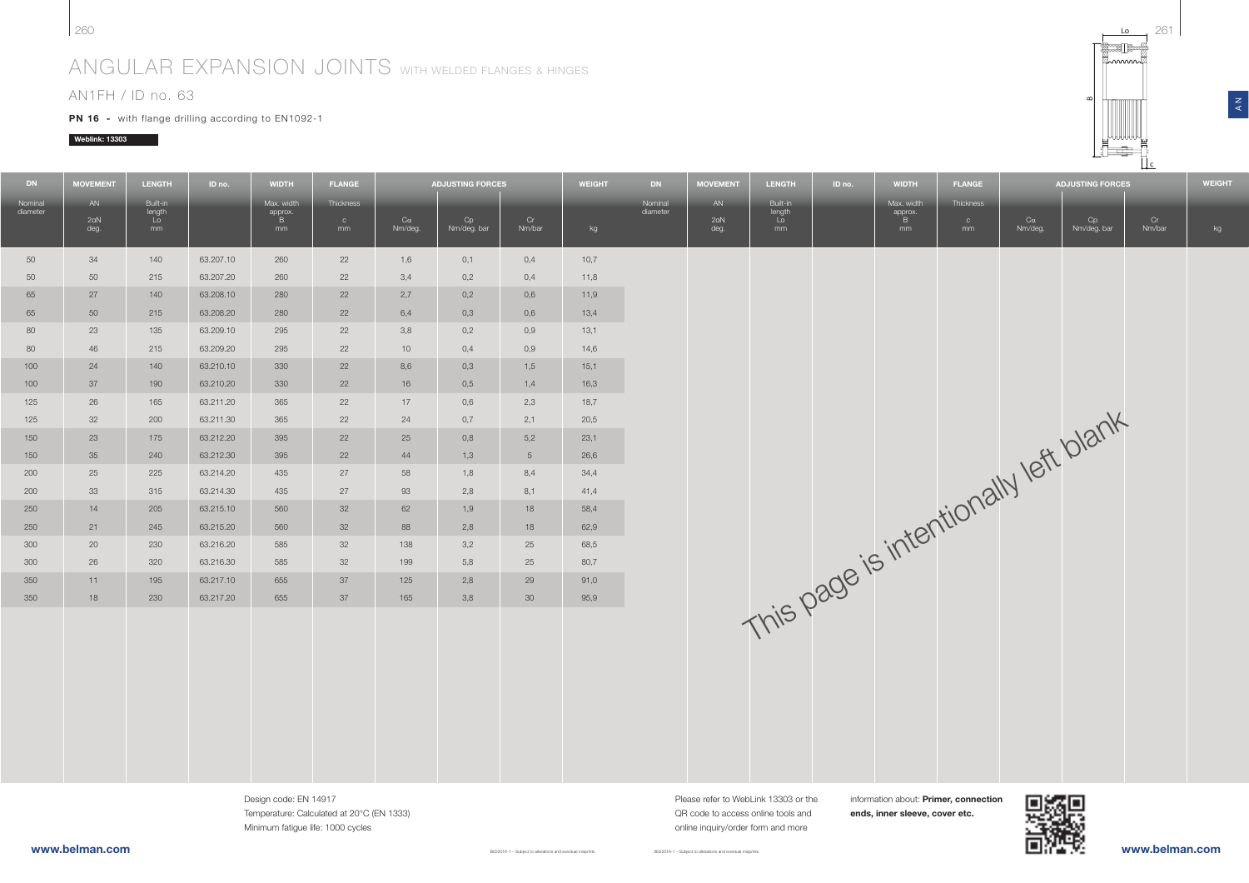# ANGULAR EXPANSION JOINTS WITH WELDED FLANGES & HINGES

### AN1FH / ID no. 63

**PN 16** - with flange drilling according to EN1092-1

### Weblink: 13303

| <b>DN</b>           | <b>MOVEMENT</b>   | <b>LENGTH</b>                  | ID no.    | <b>WIDTH</b>                     | <b>FLANGE</b>                   |                      | <b>ADJUSTING FORCES</b> |                | <b>WEIGHT</b> | <b>DN</b>           | <b>MOVEMENT</b>   | <b>LENGTH</b>                  | ID no. | <b>WIDTH</b>                     | <b>FLANGE</b>                   |                      | <b>ADJUSTING FORCES</b>               |              | <b>WEIGHT</b> |
|---------------------|-------------------|--------------------------------|-----------|----------------------------------|---------------------------------|----------------------|-------------------------|----------------|---------------|---------------------|-------------------|--------------------------------|--------|----------------------------------|---------------------------------|----------------------|---------------------------------------|--------------|---------------|
| Nominal<br>diameter | AN<br>2aN<br>deg. | Built-in<br>length<br>Lo<br>mm |           | Max. width<br>approx.<br>B<br>mm | Thickness<br>$^{\circ}$ c<br>mm | $C\alpha$<br>Nm/deg. | Cp<br>Nm/deg. bar       | Cr<br>Nm/bar   | kg            | Nominal<br>diameter | AN<br>2aN<br>deg. | Built-in<br>length<br>Lo<br>mm |        | Max. width<br>approx.<br>B<br>mm | Thickness<br>$\mathbf{C}$<br>mm | $C\alpha$<br>Nm/deg. | Cp<br>Nm/deg. bar                     | Cr<br>Nm/bar | kg            |
| 50                  | 34                | 140                            | 63.207.10 | 260                              | 22                              | 1,6                  | 0,1                     | 0,4            | 10,7          |                     |                   |                                |        |                                  |                                 |                      |                                       |              |               |
| 50                  | 50                | 215                            | 63.207.20 | 260                              | 22                              | 3,4                  | 0,2                     | 0,4            | 11,8          |                     |                   |                                |        |                                  |                                 |                      |                                       |              |               |
| 65                  | 27                | 140                            | 63.208.10 | 280                              | 22                              | 2,7                  | 0,2                     | 0.6            | 11.9          |                     |                   |                                |        |                                  |                                 |                      |                                       |              |               |
| 65                  | 50                | 215                            | 63.208.20 | 280                              | 22                              | 6,4                  | 0,3                     | 0,6            | 13,4          |                     |                   |                                |        |                                  |                                 |                      |                                       |              |               |
| 80                  | 23                | 135                            | 63.209.10 | 295                              | 22                              | 3,8                  | 0,2                     | 0.9            | 13,1          |                     |                   |                                |        |                                  |                                 |                      |                                       |              |               |
| 80                  | 46                | 215                            | 63.209.20 | 295                              | 22                              | 10                   | 0,4                     | 0.9            | 14,6          |                     |                   |                                |        |                                  |                                 |                      |                                       |              |               |
| 100                 | 24                | 140                            | 63.210.10 | 330                              | 22                              | 8,6                  | 0,3                     | 1,5            | 15,1          |                     |                   |                                |        |                                  |                                 |                      |                                       |              |               |
| 100                 | 37                | 190                            | 63.210.20 | 330                              | 22                              | 16                   | 0,5                     | 1,4            | 16,3          |                     |                   |                                |        |                                  |                                 |                      |                                       |              |               |
| 125                 | 26                | 165                            | 63.211.20 | 365                              | 22                              | 17                   | 0,6                     | 2,3            | 18,7          |                     |                   |                                |        |                                  |                                 |                      |                                       |              |               |
| 125                 | 32                | 200                            | 63.211.30 | 365                              | 22                              | 24                   | 0,7                     | 2,1            | 20,5          |                     |                   |                                |        |                                  |                                 |                      |                                       |              |               |
| 150                 | 23                | 175                            | 63.212.20 | 395                              | 22                              | 25                   | 0,8                     | 5,2            | 23,1          |                     |                   |                                |        |                                  |                                 |                      |                                       |              |               |
| 150                 | 35                | 240                            | 63.212.30 | 395                              | 22                              | 44                   | 1,3                     | 5 <sup>5</sup> | 26,6          |                     |                   |                                |        |                                  |                                 |                      |                                       |              |               |
| 200                 | 25                | 225                            | 63.214.20 | 435                              | 27                              | 58                   | 1,8                     | 8,4            | 34,4          |                     |                   |                                |        |                                  |                                 |                      |                                       |              |               |
| 200                 | 33                | 315                            | 63.214.30 | 435                              | 27                              | 93                   | 2,8                     | 8,1            | 41,4          |                     |                   |                                |        |                                  |                                 |                      |                                       |              |               |
| 250                 | 14                | 205                            | 63.215.10 | 560                              | 32                              | 62                   | 1,9                     | 18             | 58,4          |                     |                   |                                |        |                                  |                                 |                      |                                       |              |               |
| 250                 | 21                | 245                            | 63.215.20 | 560                              | 32                              | 88                   | 2,8                     | 18             | 62,9          |                     |                   |                                |        |                                  |                                 |                      |                                       |              |               |
| 300                 | 20                | 230                            | 63.216.20 | 585                              | 32                              | 138                  | 3,2                     | 25             | 68,5          |                     |                   |                                |        |                                  |                                 |                      |                                       |              |               |
| 300                 | 26                | 320                            | 63.216.30 | 585                              | 32                              | 199                  | 5,8                     | 25             | 80,7          |                     |                   |                                |        |                                  |                                 |                      |                                       |              |               |
| 350                 | 11                | 195                            | 63.217.10 | 655                              | 37                              | 125                  | 2,8                     | 29             | 91,0          |                     |                   |                                |        |                                  |                                 |                      |                                       |              |               |
| 350                 | 18                | 230                            | 63.217.20 | 655                              | 37                              | 165                  | 3,8                     | 30             | 95,9          |                     |                   |                                |        |                                  |                                 |                      |                                       |              |               |
|                     |                   |                                |           |                                  |                                 |                      |                         |                |               |                     |                   |                                |        |                                  |                                 |                      | This page is intentionally left blank |              |               |

B022016-1 – Subject to alterations and eventual misprints

Design code: EN 14917 Temperature: Calculated at 20°C (EN 1333) Minimum fatigue life: 1000 cycles

Please refer to WebLink 13303 or the QR code to access online tools andonline inquiry/order form and more

B022016-1 – Subject to alterations and eventual misprints

information about: Primer, connection ends, inner sleeve, cover etc.



 $\overline{A}$ 

 $\overline{L}$ 

c

 $\approx$